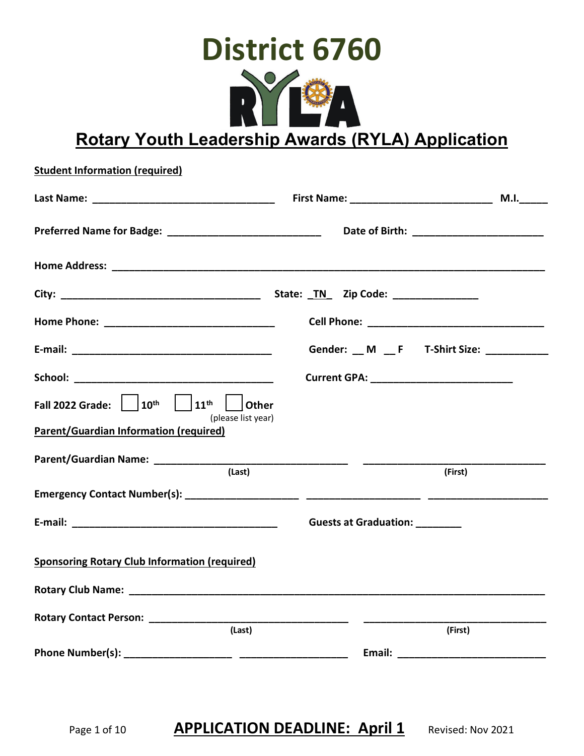

**Rotary Youth Leadership Awards (RYLA) Application**

| <b>Student Information (required)</b>                                                              |                                                                                                     |      |  |
|----------------------------------------------------------------------------------------------------|-----------------------------------------------------------------------------------------------------|------|--|
|                                                                                                    |                                                                                                     | M.I. |  |
|                                                                                                    | Preferred Name for Badge: __________________________________ Date of Birth: _______________________ |      |  |
|                                                                                                    |                                                                                                     |      |  |
|                                                                                                    |                                                                                                     |      |  |
|                                                                                                    |                                                                                                     |      |  |
|                                                                                                    | Gender: __ M __ F T-Shirt Size: __________                                                          |      |  |
|                                                                                                    |                                                                                                     |      |  |
| Fall 2022 Grade: $\begin{vmatrix} 10^{th} & 11^{th} & 1 \end{vmatrix}$ Other<br>(please list year) |                                                                                                     |      |  |
| <b>Parent/Guardian Information (required)</b>                                                      |                                                                                                     |      |  |
| (Last)                                                                                             | (First)                                                                                             |      |  |
|                                                                                                    |                                                                                                     |      |  |
|                                                                                                    | Guests at Graduation: ________                                                                      |      |  |
| <b>Sponsoring Rotary Club Information (required)</b>                                               |                                                                                                     |      |  |
| <b>Rotary Club Name:</b>                                                                           |                                                                                                     |      |  |
| Rotary Contact Person: ______________<br>(Last)                                                    | (First)                                                                                             |      |  |
|                                                                                                    |                                                                                                     |      |  |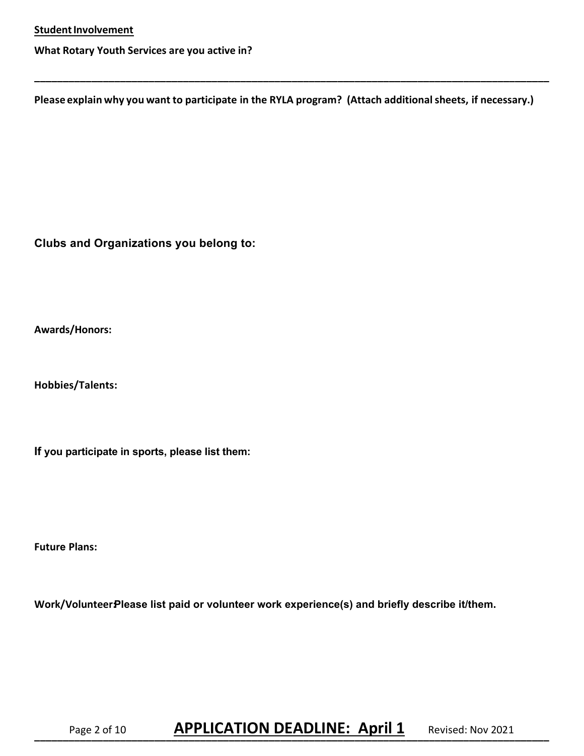**What Rotary Youth Services are you active in?** 

**Please explain why you want to participate in the RYLA program? (Attach additional sheets, if necessary.)**

**\_\_\_\_\_\_\_\_\_\_\_\_\_\_\_\_\_\_\_\_\_\_\_\_\_\_\_\_\_\_\_\_\_\_\_\_\_\_\_\_\_\_\_\_\_\_\_\_\_\_\_\_\_\_\_\_\_\_\_\_\_\_\_\_\_\_\_\_\_\_\_\_\_\_\_\_\_\_\_\_\_\_\_\_\_\_\_\_\_\_** 

**Clubs and Organizations you belong to:** 

**Awards/Honors:**

**Hobbies/Talents:**

**If you participate in sports, please list them:**

**Future Plans:** 

Work/VolunteerPlease list paid or volunteer work experience(s) and briefly describe it/them.

# Page 2 of 10 **APPLICATION DEADLINE: April 1** Revised: Nov 2021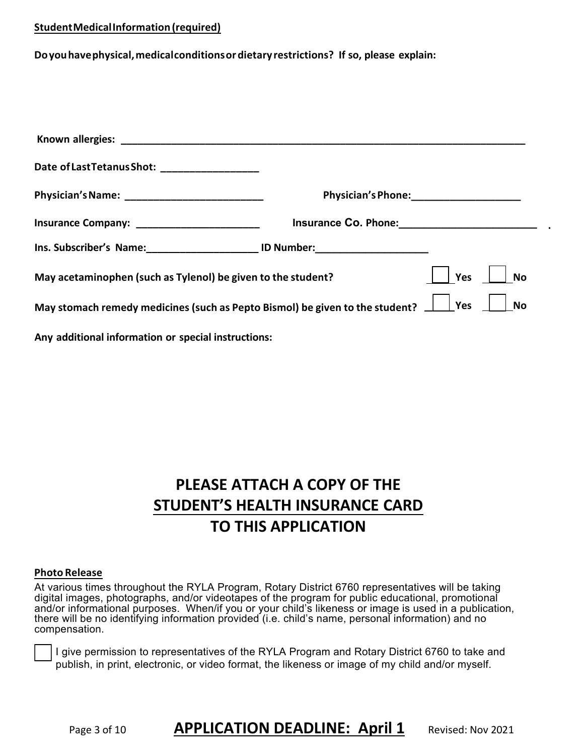#### **StudentMedicalInformation(required)**

**Doyouhavephysical,medicalconditionsordietary restrictions? If so, please explain:** 

| Date of Last Tetanus Shot: __________________                                  |                                  |                  |
|--------------------------------------------------------------------------------|----------------------------------|------------------|
| Physician's Name: ____________________________                                 |                                  |                  |
| Insurance Company: __________________________                                  | Insurance Co. Phone:<br><u> </u> |                  |
| Ins. Subscriber's Name: 10 Number:                                             |                                  |                  |
| May acetaminophen (such as Tylenol) be given to the student?                   |                                  | <b>No</b><br>Yes |
| May stomach remedy medicines (such as Pepto Bismol) be given to the student? _ |                                  | Yes<br><b>No</b> |
| Any additional information or special instructions:                            |                                  |                  |

# **PLEASE ATTACH A COPY OF THE STUDENT'S HEALTH INSURANCE CARD TO THIS APPLICATION**

#### **Photo Release**

At various times throughout the RYLA Program, Rotary District 6760 representatives will be taking digital images, photographs, and/or videotapes of the program for public educational, promotional and/or informational purposes. When/if you or your child's likeness or image is used in a publication, there will be no identifying information provided (i.e. child's name, personal information) and no compensation.

I give permission to representatives of the RYLA Program and Rotary District 6760 to take and publish, in print, electronic, or video format, the likeness or image of my child and/or myself.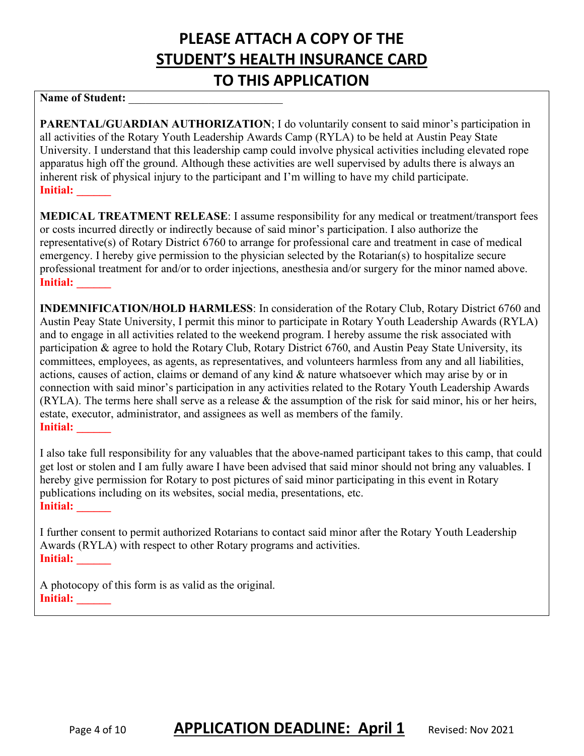# **PLEASE ATTACH A COPY OF THE STUDENT'S HEALTH INSURANCE CARD TO THIS APPLICATION**

## Name of Student:

**PARENTAL/GUARDIAN AUTHORIZATION**; I do voluntarily consent to said minor's participation in all activities of the Rotary Youth Leadership Awards Camp (RYLA) to be held at Austin Peay State University. I understand that this leadership camp could involve physical activities including elevated rope apparatus high off the ground. Although these activities are well supervised by adults there is always an inherent risk of physical injury to the participant and I'm willing to have my child participate. **Initial: \_\_\_\_\_\_** 

**MEDICAL TREATMENT RELEASE**: I assume responsibility for any medical or treatment/transport fees or costs incurred directly or indirectly because of said minor's participation. I also authorize the representative(s) of Rotary District 6760 to arrange for professional care and treatment in case of medical emergency. I hereby give permission to the physician selected by the Rotarian(s) to hospitalize secure professional treatment for and/or to order injections, anesthesia and/or surgery for the minor named above. **Initial:** 

**INDEMNIFICATION/HOLD HARMLESS**: In consideration of the Rotary Club, Rotary District 6760 and Austin Peay State University, I permit this minor to participate in Rotary Youth Leadership Awards (RYLA) and to engage in all activities related to the weekend program. I hereby assume the risk associated with participation & agree to hold the Rotary Club, Rotary District 6760, and Austin Peay State University, its committees, employees, as agents, as representatives, and volunteers harmless from any and all liabilities, actions, causes of action, claims or demand of any kind & nature whatsoever which may arise by or in connection with said minor's participation in any activities related to the Rotary Youth Leadership Awards (RYLA). The terms here shall serve as a release & the assumption of the risk for said minor, his or her heirs, estate, executor, administrator, and assignees as well as members of the family. **Initial:** 

I also take full responsibility for any valuables that the above-named participant takes to this camp, that could get lost or stolen and I am fully aware I have been advised that said minor should not bring any valuables. I hereby give permission for Rotary to post pictures of said minor participating in this event in Rotary publications including on its websites, social media, presentations, etc. **Initial: \_\_\_\_\_\_** 

I further consent to permit authorized Rotarians to contact said minor after the Rotary Youth Leadership Awards (RYLA) with respect to other Rotary programs and activities. **Initial: \_\_\_\_\_\_** 

A photocopy of this form is as valid as the original. **Initial: \_\_\_\_\_\_**

Page 4 of 10 **APPLICATION DEADLINE: April 1** Revised: Nov 2021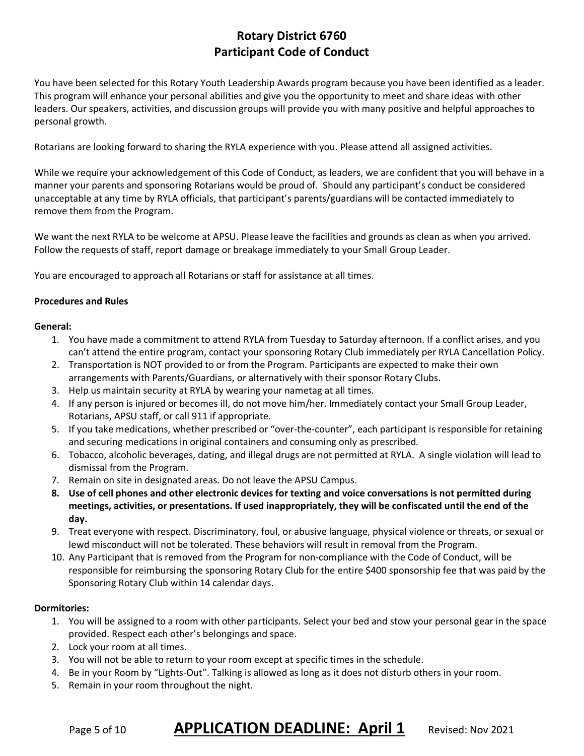## **Rotary District 6760 Participant Code of Conduct**

You have been selected for this Rotary Youth Leadership Awards program because you have been identified as a leader. This program will enhance your personal abilities and give you the opportunity to meet and share ideas with other leaders. Our speakers, activities, and discussion groups will provide you with many positive and helpful approaches to personal growth.

Rotarians are looking forward to sharing the RYLA experience with you. Please attend all assigned activities.

While we require your acknowledgement of this Code of Conduct, as leaders, we are confident that you will behave in a manner your parents and sponsoring Rotarians would be proud of. Should any participant's conduct be considered unacceptable at any time by RYLA officials, that participant's parents/guardians will be contacted immediately to remove them from the Program.

We want the next RYLA to be welcome at APSU. Please leave the facilities and grounds as clean as when you arrived. Follow the requests of staff, report damage or breakage immediately to your Small Group Leader.

You are encouraged to approach all Rotarians or staff for assistance at all times.

#### **Procedures and Rules**

#### **General:**

- 1. You have made a commitment to attend RYLA from Tuesday to Saturday afternoon. If a conflict arises, and you can't attend the entire program, contact your sponsoring Rotary Club immediately per RYLA Cancellation Policy.
- 2. Transportation is NOT provided to or from the Program. Participants are expected to make their own arrangements with Parents/Guardians, or alternatively with their sponsor Rotary Clubs.
- 3. Help us maintain security at RYLA by wearing your nametag at all times.
- 4. If any person is injured or becomes ill, do not move him/her. Immediately contact your Small Group Leader, Rotarians, APSU staff, or call 911 if appropriate.
- 5. If you take medications, whether prescribed or "over-the-counter", each participant is responsible for retaining and securing medications in original containers and consuming only as prescribed.
- 6. Tobacco, alcoholic beverages, dating, and illegal drugs are not permitted at RYLA. A single violation will lead to dismissal from the Program.
- 7. Remain on site in designated areas. Do not leave the APSU Campus.
- **8. Use of cell phones and other electronic devices for texting and voice conversations is not permitted during meetings, activities, or presentations. If used inappropriately, they will be confiscated until the end of the day.**
- 9. Treat everyone with respect. Discriminatory, foul, or abusive language, physical violence or threats, or sexual or lewd misconduct will not be tolerated. These behaviors will result in removal from the Program.
- 10. Any Participant that is removed from the Program for non-compliance with the Code of Conduct, will be responsible for reimbursing the sponsoring Rotary Club for the entire \$400 sponsorship fee that was paid by the Sponsoring Rotary Club within 14 calendar days.

#### **Dormitories:**

- 1. You will be assigned to a room with other participants. Select your bed and stow your personal gear in the space provided. Respect each other's belongings and space.
- 2. Lock your room at all times.
- 3. You will not be able to return to your room except at specific times in the schedule.
- 4. Be in your Room by "Lights-Out". Talking is allowed as long as it does not disturb others in your room.
- 5. Remain in your room throughout the night.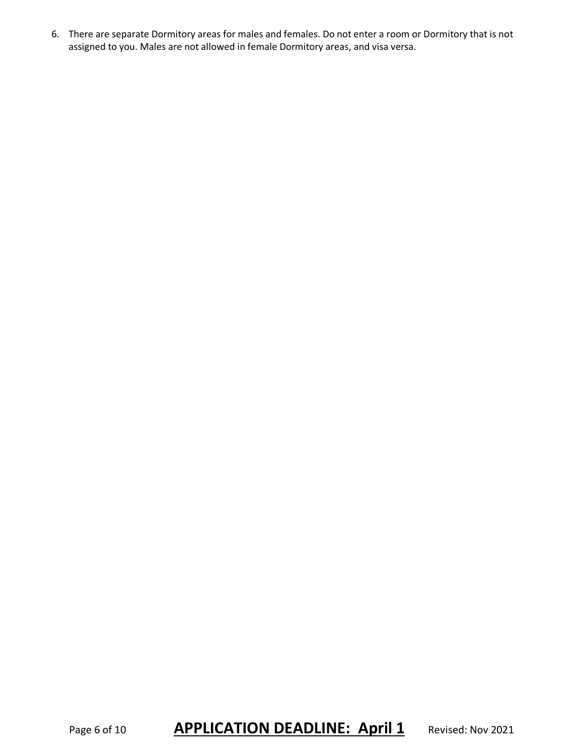6. There are separate Dormitory areas for males and females. Do not enter a room or Dormitory that is not assigned to you. Males are not allowed in female Dormitory areas, and visa versa.

## Page 6 of 10 **APPLICATION DEADLINE: April 1** Revised: Nov 2021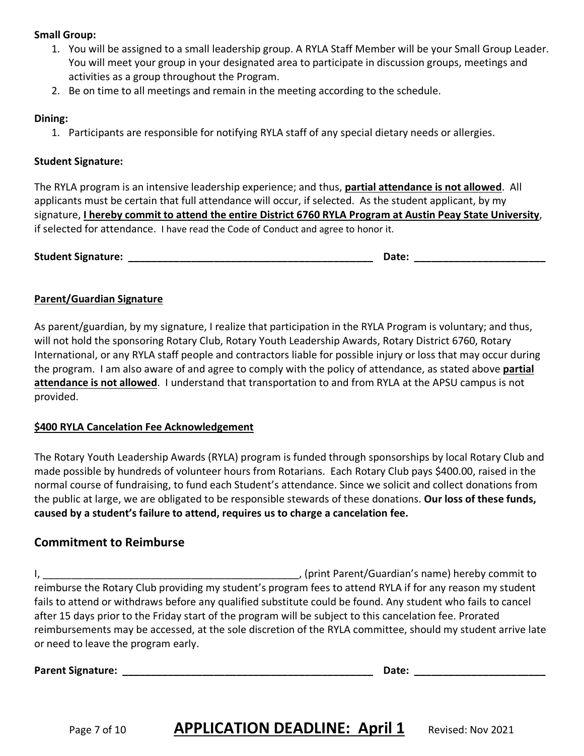#### **Small Group:**

- 1. You will be assigned to a small leadership group. A RYLA Staff Member will be your Small Group Leader. You will meet your group in your designated area to participate in discussion groups, meetings and activities as a group throughout the Program.
- 2. Be on time to all meetings and remain in the meeting according to the schedule.

#### **Dining:**

1. Participants are responsible for notifying RYLA staff of any special dietary needs or allergies.

### **Student Signature:**

The RYLA program is an intensive leadership experience; and thus, **partial attendance is not allowed**. All applicants must be certain that full attendance will occur, if selected. As the student applicant, by my signature, **I hereby commit to attend the entire District 6760 RYLA Program at Austin Peay State University**, if selected for attendance. I have read the Code of Conduct and agree to honor it.

**Student Signature: \_\_\_\_\_\_\_\_\_\_\_\_\_\_\_\_\_\_\_\_\_\_\_\_\_\_\_\_\_\_\_\_\_\_\_\_\_\_\_\_\_\_\_ Date: \_\_\_\_\_\_\_\_\_\_\_\_\_\_\_\_\_\_\_\_\_\_\_**

## **Parent/Guardian Signature**

As parent/guardian, by my signature, I realize that participation in the RYLA Program is voluntary; and thus, will not hold the sponsoring Rotary Club, Rotary Youth Leadership Awards, Rotary District 6760, Rotary International, or any RYLA staff people and contractors liable for possible injury or loss that may occur during the program. I am also aware of and agree to comply with the policy of attendance, as stated above **partial attendance is not allowed**. I understand that transportation to and from RYLA at the APSU campus is not provided.

## **\$400 RYLA Cancelation Fee Acknowledgement**

The Rotary Youth Leadership Awards (RYLA) program is funded through sponsorships by local Rotary Club and made possible by hundreds of volunteer hours from Rotarians. Each Rotary Club pays \$400.00, raised in the normal course of fundraising, to fund each Student's attendance. Since we solicit and collect donations from the public at large, we are obligated to be responsible stewards of these donations. **Our loss of these funds, caused by a student's failure to attend, requires us to charge a cancelation fee.** 

## **Commitment to Reimburse**

I, \_\_\_\_\_\_\_\_\_\_\_\_\_\_\_\_\_\_\_\_\_\_\_\_\_\_\_\_\_\_\_\_\_\_\_\_\_\_\_\_\_\_\_\_\_, (print Parent/Guardian's name) hereby commit to reimburse the Rotary Club providing my student's program fees to attend RYLA if for any reason my student fails to attend or withdraws before any qualified substitute could be found. Any student who fails to cancel after 15 days prior to the Friday start of the program will be subject to this cancelation fee. Prorated reimbursements may be accessed, at the sole discretion of the RYLA committee, should my student arrive late or need to leave the program early.

**Parent Signature: \_\_\_\_\_\_\_\_\_\_\_\_\_\_\_\_\_\_\_\_\_\_\_\_\_\_\_\_\_\_\_\_\_\_\_\_\_\_\_\_\_\_\_\_ Date: \_\_\_\_\_\_\_\_\_\_\_\_\_\_\_\_\_\_\_\_\_\_\_**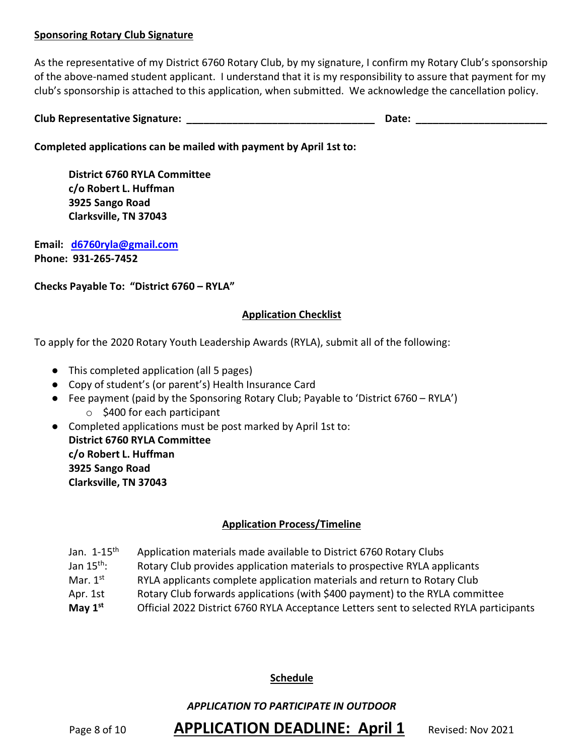#### **Sponsoring Rotary Club Signature**

As the representative of my District 6760 Rotary Club, by my signature, I confirm my Rotary Club's sponsorship of the above-named student applicant. I understand that it is my responsibility to assure that payment for my club's sponsorship is attached to this application, when submitted. We acknowledge the cancellation policy.

| <b>Club Representative Signature:</b> |  |  |
|---------------------------------------|--|--|
|                                       |  |  |

**Completed applications can be mailed with payment by April 1st to:**

**District 6760 RYLA Committee c/o Robert L. Huffman 3925 Sango Road Clarksville, TN 37043** 

**Email: d6760ryla@gmail.com Phone: 931-265-7452**

**Checks Payable To: "District 6760 – RYLA"** 

#### **Application Checklist**

To apply for the 2020 Rotary Youth Leadership Awards (RYLA), submit all of the following:

- This completed application (all 5 pages)
- Copy of student's (or parent's) Health Insurance Card
- Fee payment (paid by the Sponsoring Rotary Club; Payable to 'District 6760 RYLA')
	- o \$400 for each participant
- Completed applications must be post marked by April 1st to: **District 6760 RYLA Committee c/o Robert L. Huffman 3925 Sango Road Clarksville, TN 37043**

## **Application Process/Timeline**

- Jan. 1-15<sup>th</sup> Application materials made available to District 6760 Rotary Clubs
- Jan 15<sup>th</sup>: Rotary Club provides application materials to prospective RYLA applicants
- Mar.  $1<sup>st</sup>$  RYLA applicants complete application materials and return to Rotary Club
- Apr. 1st Rotary Club forwards applications (with \$400 payment) to the RYLA committee
- **May 1st** Official 2022 District 6760 RYLA Acceptance Letters sent to selected RYLA participants

#### **Schedule**

#### *APPLICATION TO PARTICIPATE IN OUTDOOR*

Page 8 of 10 **APPLICATION DEADLINE: April 1** Revised: Nov 2021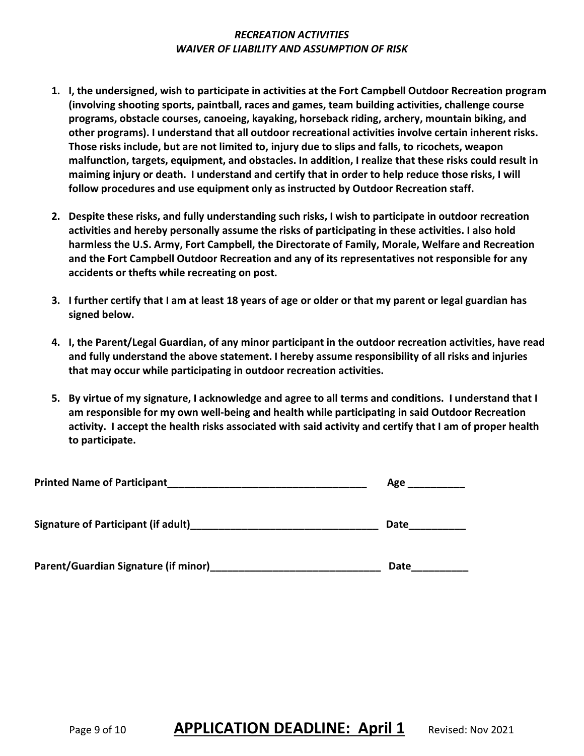#### *RECREATION ACTIVITIES WAIVER OF LIABILITY AND ASSUMPTION OF RISK*

- **1. I, the undersigned, wish to participate in activities at the Fort Campbell Outdoor Recreation program (involving shooting sports, paintball, races and games, team building activities, challenge course programs, obstacle courses, canoeing, kayaking, horseback riding, archery, mountain biking, and other programs). I understand that all outdoor recreational activities involve certain inherent risks. Those risks include, but are not limited to, injury due to slips and falls, to ricochets, weapon malfunction, targets, equipment, and obstacles. In addition, I realize that these risks could result in maiming injury or death. I understand and certify that in order to help reduce those risks, I will follow procedures and use equipment only as instructed by Outdoor Recreation staff.**
- **2. Despite these risks, and fully understanding such risks, I wish to participate in outdoor recreation activities and hereby personally assume the risks of participating in these activities. I also hold harmless the U.S. Army, Fort Campbell, the Directorate of Family, Morale, Welfare and Recreation and the Fort Campbell Outdoor Recreation and any of its representatives not responsible for any accidents or thefts while recreating on post.**
- **3. I further certify that I am at least 18 years of age or older or that my parent or legal guardian has signed below.**
- **4. I, the Parent/Legal Guardian, of any minor participant in the outdoor recreation activities, have read and fully understand the above statement. I hereby assume responsibility of all risks and injuries that may occur while participating in outdoor recreation activities.**
- **5. By virtue of my signature, I acknowledge and agree to all terms and conditions. I understand that I am responsible for my own well-being and health while participating in said Outdoor Recreation activity. I accept the health risks associated with said activity and certify that I am of proper health to participate.**

| <b>Printed Name of Participant</b>         | Age  |
|--------------------------------------------|------|
| <b>Signature of Participant (if adult)</b> | Date |
| Parent/Guardian Signature (if minor)       | Date |

Page 9 of 10 **APPLICATION DEADLINE: April 1** Revised: Nov 2021